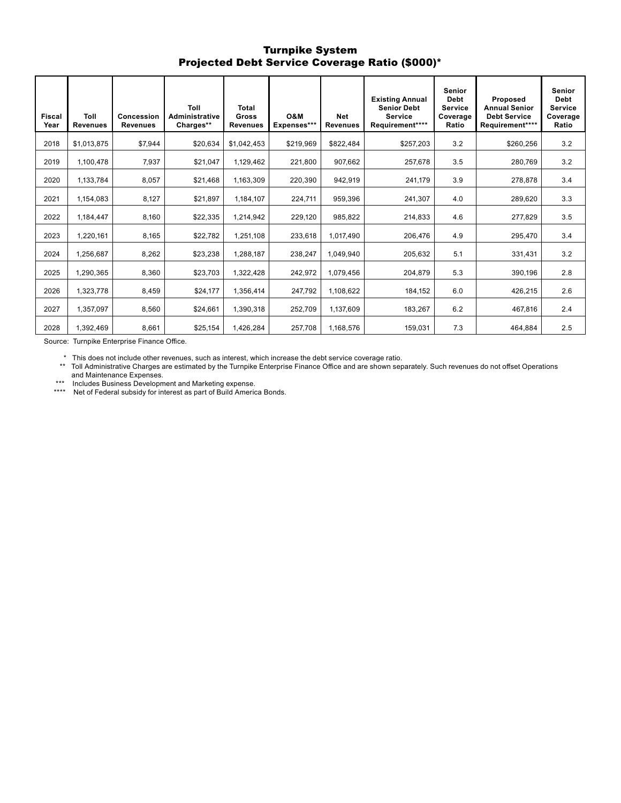### Turnpike System Projected Debt Service Coverage Ratio (\$000)\*

| <b>Fiscal</b><br>Year | Toll<br><b>Revenues</b> | Concession<br><b>Revenues</b> | Toll<br><b>Administrative</b><br>Charges** | <b>Total</b><br><b>Gross</b><br><b>Revenues</b> | O&M<br>Expenses*** | <b>Net</b><br><b>Revenues</b> | <b>Existing Annual</b><br><b>Senior Debt</b><br><b>Service</b><br>Requirement**** | <b>Senior</b><br><b>Debt</b><br><b>Service</b><br>Coverage<br>Ratio | Proposed<br><b>Annual Senior</b><br><b>Debt Service</b><br>Requirement**** | <b>Senior</b><br><b>Debt</b><br><b>Service</b><br>Coverage<br>Ratio |
|-----------------------|-------------------------|-------------------------------|--------------------------------------------|-------------------------------------------------|--------------------|-------------------------------|-----------------------------------------------------------------------------------|---------------------------------------------------------------------|----------------------------------------------------------------------------|---------------------------------------------------------------------|
| 2018                  | \$1.013.875             | \$7,944                       | \$20,634                                   | \$1.042.453                                     | \$219,969          | \$822,484                     | \$257,203                                                                         | 3.2                                                                 | \$260,256                                                                  | 3.2                                                                 |
| 2019                  | 1,100,478               | 7,937                         | \$21,047                                   | 1,129,462                                       | 221,800            | 907,662                       | 257,678                                                                           | 3.5                                                                 | 280,769                                                                    | 3.2                                                                 |
| 2020                  | 1,133,784               | 8,057                         | \$21,468                                   | 1,163,309                                       | 220,390            | 942,919                       | 241,179                                                                           | 3.9                                                                 | 278,878                                                                    | 3.4                                                                 |
| 2021                  | 1,154,083               | 8,127                         | \$21,897                                   | 1,184,107                                       | 224,711            | 959,396                       | 241,307                                                                           | 4.0                                                                 | 289,620                                                                    | 3.3                                                                 |
| 2022                  | 1.184.447               | 8.160                         | \$22,335                                   | 1.214.942                                       | 229,120            | 985.822                       | 214.833                                                                           | 4.6                                                                 | 277.829                                                                    | 3.5                                                                 |
| 2023                  | 1,220,161               | 8,165                         | \$22,782                                   | 1,251,108                                       | 233,618            | 1,017,490                     | 206,476                                                                           | 4.9                                                                 | 295,470                                                                    | 3.4                                                                 |
| 2024                  | 1,256,687               | 8,262                         | \$23,238                                   | 1,288,187                                       | 238,247            | 1,049,940                     | 205,632                                                                           | 5.1                                                                 | 331,431                                                                    | 3.2                                                                 |
| 2025                  | 1,290,365               | 8,360                         | \$23,703                                   | 1,322,428                                       | 242,972            | 1,079,456                     | 204,879                                                                           | 5.3                                                                 | 390,196                                                                    | 2.8                                                                 |
| 2026                  | 1,323,778               | 8,459                         | \$24,177                                   | 1,356,414                                       | 247,792            | 1,108,622                     | 184,152                                                                           | 6.0                                                                 | 426,215                                                                    | 2.6                                                                 |
| 2027                  | 1,357,097               | 8,560                         | \$24,661                                   | 1,390,318                                       | 252,709            | 1,137,609                     | 183,267                                                                           | 6.2                                                                 | 467,816                                                                    | 2.4                                                                 |
| 2028                  | 1,392,469               | 8,661                         | \$25,154                                   | 1,426,284                                       | 257,708            | 1,168,576                     | 159,031                                                                           | 7.3                                                                 | 464,884                                                                    | 2.5                                                                 |

Source: Turnpike Enterprise Finance Office.

\* This does not include other revenues, such as interest, which increase the debt service coverage ratio.

\*\* Toll Administrative Charges are estimated by the Turnpike Enterprise Finance Office and are shown separately. Such revenues do not offset Operations and Maintenance Expenses.

\*\*\* Includes Business Development and Marketing expense.

\*\*\*\* Net of Federal subsidy for interest as part of Build America Bonds.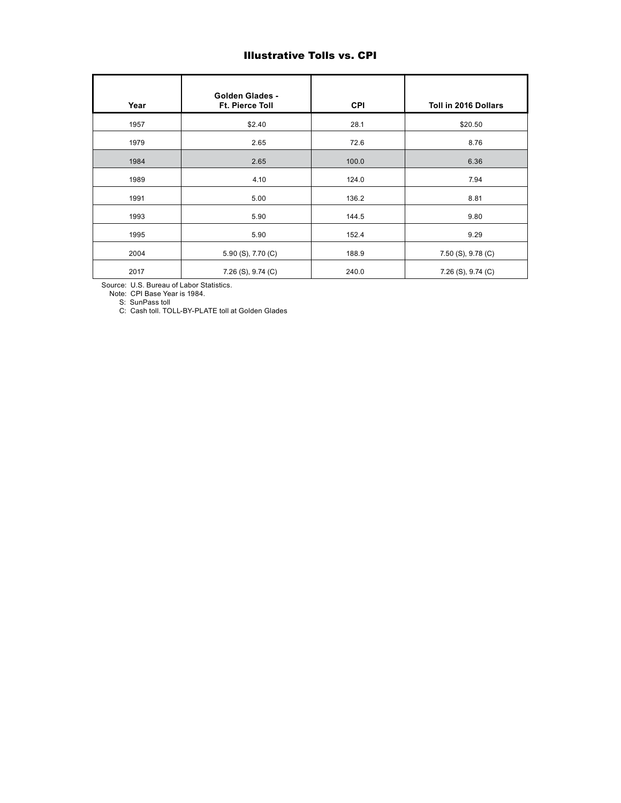# Illustrative Tolls vs. CPI

| Year | <b>Golden Glades -</b><br>Ft. Pierce Toll | <b>CPI</b> | Toll in 2016 Dollars |
|------|-------------------------------------------|------------|----------------------|
| 1957 | \$2.40                                    | 28.1       | \$20.50              |
| 1979 | 2.65                                      | 72.6       | 8.76                 |
| 1984 | 2.65                                      | 100.0      | 6.36                 |
| 1989 | 4.10                                      | 124.0      | 7.94                 |
| 1991 | 5.00                                      | 136.2      | 8.81                 |
| 1993 | 5.90                                      | 144.5      | 9.80                 |
| 1995 | 5.90                                      | 152.4      | 9.29                 |
| 2004 | 5.90 (S), 7.70 (C)                        | 188.9      | 7.50 (S), 9.78 (C)   |
| 2017 | 7.26 (S), 9.74 (C)                        | 240.0      | 7.26 (S), 9.74 (C)   |

Source: U.S. Bureau of Labor Statistics.

Note: CPI Base Year is 1984.

S: SunPass toll

C: Cash toll. TOLL-BY-PLATE toll at Golden Glades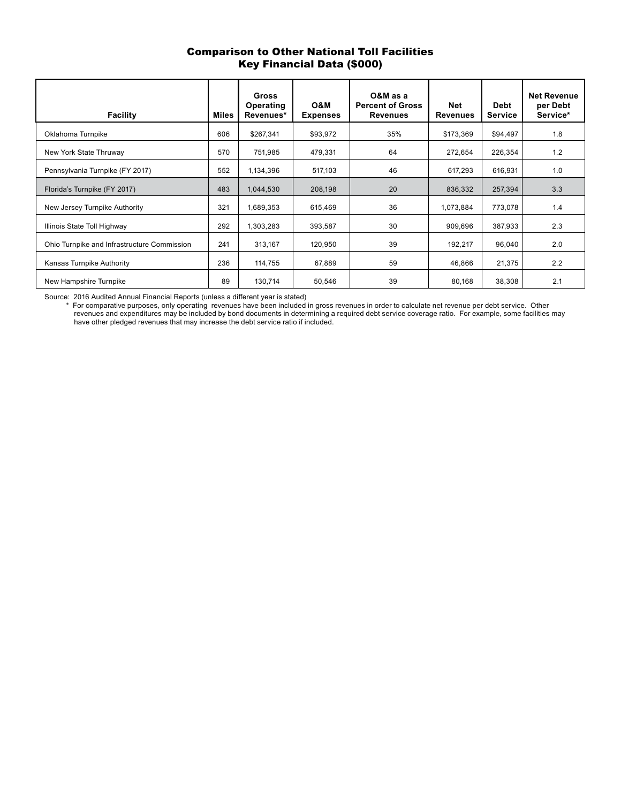# Comparison to Other National Toll Facilities Key Financial Data (\$000)

| <b>Facility</b>                             | <b>Miles</b> | Gross<br>Operating<br>Revenues* | O&M<br><b>Expenses</b> | O&M as a<br><b>Percent of Gross</b><br><b>Revenues</b> | <b>Net</b><br><b>Revenues</b> | <b>Debt</b><br><b>Service</b> | <b>Net Revenue</b><br>per Debt<br>Service* |
|---------------------------------------------|--------------|---------------------------------|------------------------|--------------------------------------------------------|-------------------------------|-------------------------------|--------------------------------------------|
| Oklahoma Turnpike                           | 606          | \$267,341                       | \$93,972               | 35%                                                    | \$173,369                     | \$94,497                      | 1.8                                        |
| New York State Thruway                      | 570          | 751,985                         | 479,331                | 64                                                     | 272,654                       | 226,354                       | 1.2                                        |
| Pennsylvania Turnpike (FY 2017)             | 552          | 1,134,396                       | 517,103                | 46                                                     | 617,293                       | 616,931                       | 1.0                                        |
| Florida's Turnpike (FY 2017)                | 483          | 1,044,530                       | 208,198                | 20                                                     | 836,332                       | 257,394                       | 3.3                                        |
| New Jersey Turnpike Authority               | 321          | 1,689,353                       | 615,469                | 36                                                     | 1,073,884                     | 773,078                       | 1.4                                        |
| Illinois State Toll Highway                 | 292          | 1,303,283                       | 393,587                | 30                                                     | 909,696                       | 387,933                       | 2.3                                        |
| Ohio Turnpike and Infrastructure Commission | 241          | 313,167                         | 120,950                | 39                                                     | 192,217                       | 96,040                        | 2.0                                        |
| Kansas Turnpike Authority                   | 236          | 114,755                         | 67,889                 | 59                                                     | 46,866                        | 21,375                        | 2.2                                        |
| New Hampshire Turnpike                      | 89           | 130,714                         | 50,546                 | 39                                                     | 80,168                        | 38,308                        | 2.1                                        |

Source: 2016 Audited Annual Financial Reports (unless a different year is stated)

 \* For comparative purposes, only operating revenues have been included in gross revenues in order to calculate net revenue per debt service. Other revenues and expenditures may be included by bond documents in determining a required debt service coverage ratio. For example, some facilities may have other pledged revenues that may increase the debt service ratio if included.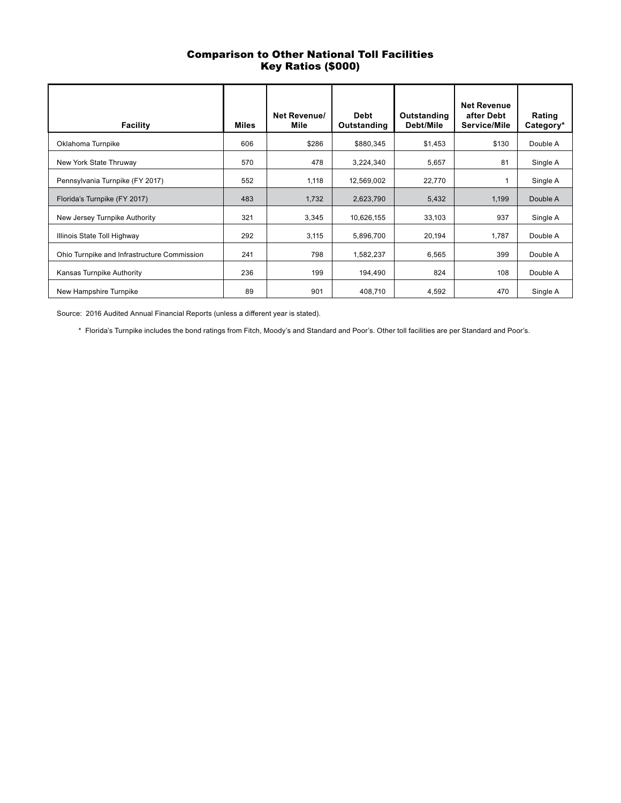# Comparison to Other National Toll Facilities Key Ratios (\$000)

| <b>Facility</b>                             | Miles | <b>Net Revenue/</b><br>Mile | <b>Debt</b><br>Outstanding | Outstanding<br>Debt/Mile | <b>Net Revenue</b><br>after Debt<br>Service/Mile | Rating<br>Category* |
|---------------------------------------------|-------|-----------------------------|----------------------------|--------------------------|--------------------------------------------------|---------------------|
| Oklahoma Turnpike                           | 606   | \$286                       | \$880,345                  | \$1,453                  | \$130                                            | Double A            |
| New York State Thruway                      | 570   | 478                         | 3,224,340                  | 5,657                    | 81                                               | Single A            |
| Pennsylvania Turnpike (FY 2017)             | 552   | 1.118                       | 12,569,002                 | 22,770                   |                                                  | Single A            |
| Florida's Turnpike (FY 2017)                | 483   | 1,732                       | 2,623,790                  | 5,432                    | 1,199                                            | Double A            |
| New Jersey Turnpike Authority               | 321   | 3,345                       | 10,626,155                 | 33,103                   | 937                                              | Single A            |
| Illinois State Toll Highway                 | 292   | 3,115                       | 5,896,700                  | 20,194                   | 1,787                                            | Double A            |
| Ohio Turnpike and Infrastructure Commission | 241   | 798                         | 1,582,237                  | 6,565                    | 399                                              | Double A            |
| Kansas Turnpike Authority                   | 236   | 199                         | 194,490                    | 824                      | 108                                              | Double A            |
| New Hampshire Turnpike                      | 89    | 901                         | 408,710                    | 4,592                    | 470                                              | Single A            |

Source: 2016 Audited Annual Financial Reports (unless a different year is stated).

\* Florida's Turnpike includes the bond ratings from Fitch, Moody's and Standard and Poor's. Other toll facilities are per Standard and Poor's.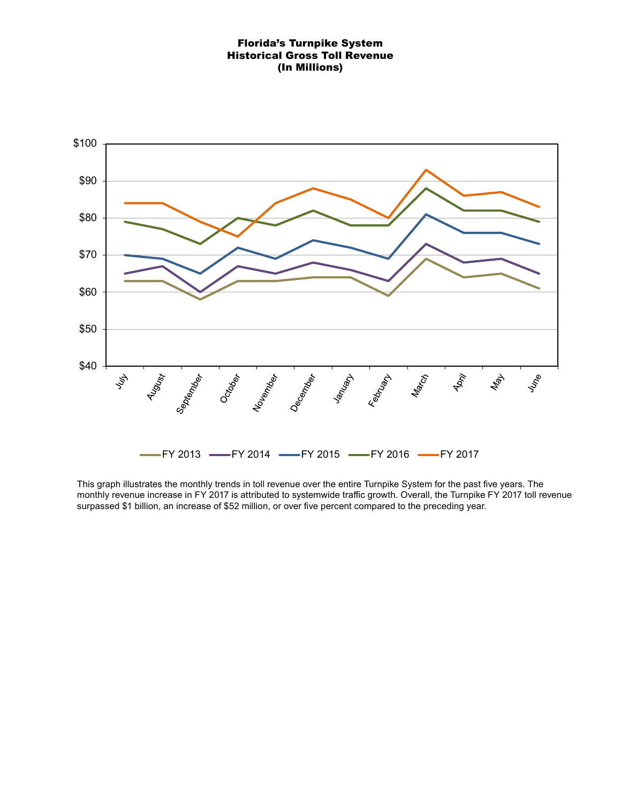### Florida's Turnpike System Historical Gross Toll Revenue (In Millions)



This graph illustrates the monthly trends in toll revenue over the entire Turnpike System for the past five years. The monthly revenue increase in FY 2017 is attributed to systemwide traffic growth. Overall, the Turnpike FY 2017 toll revenue surpassed \$1 billion, an increase of \$52 million, or over five percent compared to the preceding year.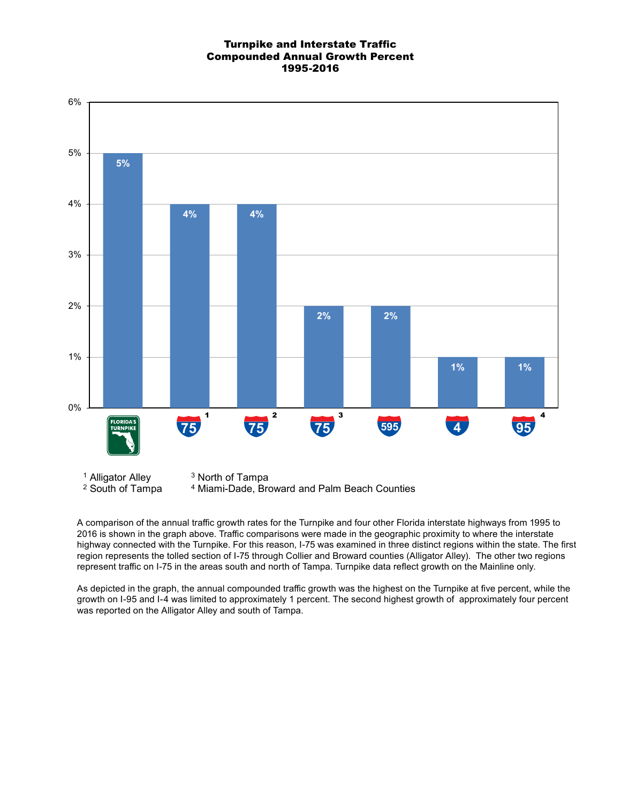### Turnpike and Interstate Traffic Compounded Annual Growth Percent 1995-2016



A comparison of the annual traffic growth rates for the Turnpike and four other Florida interstate highways from 1995 to 2016 is shown in the graph above. Traffic comparisons were made in the geographic proximity to where the interstate highway connected with the Turnpike. For this reason, I-75 was examined in three distinct regions within the state. The first region represents the tolled section of I-75 through Collier and Broward counties (Alligator Alley). The other two regions represent traffic on I-75 in the areas south and north of Tampa. Turnpike data reflect growth on the Mainline only.

As depicted in the graph, the annual compounded traffic growth was the highest on the Turnpike at five percent, while the growth on I-95 and I-4 was limited to approximately 1 percent. The second highest growth of approximately four percent was reported on the Alligator Alley and south of Tampa.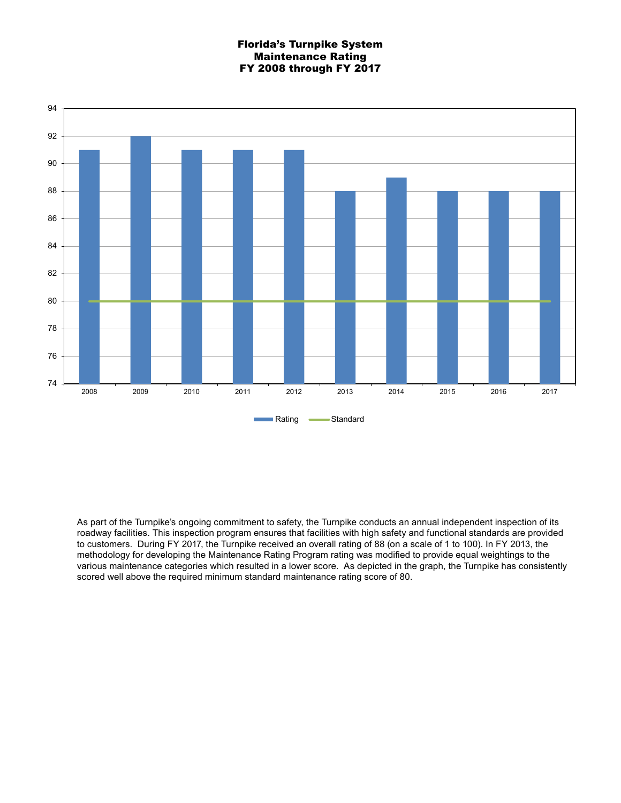### Florida's Turnpike System Maintenance Rating FY 2008 through FY 2017



As part of the Turnpike's ongoing commitment to safety, the Turnpike conducts an annual independent inspection of its roadway facilities. This inspection program ensures that facilities with high safety and functional standards are provided to customers. During FY 2017, the Turnpike received an overall rating of 88 (on a scale of 1 to 100). In FY 2013, the methodology for developing the Maintenance Rating Program rating was modified to provide equal weightings to the various maintenance categories which resulted in a lower score. As depicted in the graph, the Turnpike has consistently scored well above the required minimum standard maintenance rating score of 80.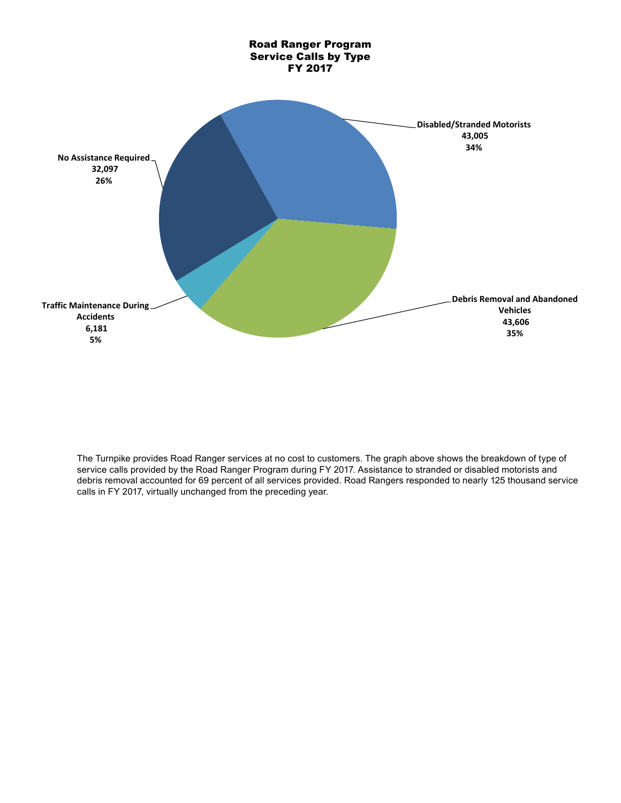

The Turnpike provides Road Ranger services at no cost to customers. The graph above shows the breakdown of type of service calls provided by the Road Ranger Program during FY 2017. Assistance to stranded or disabled motorists and debris removal accounted for 69 percent of all services provided. Road Rangers responded to nearly 125 thousand service calls in FY 2017, virtually unchanged from the preceding year.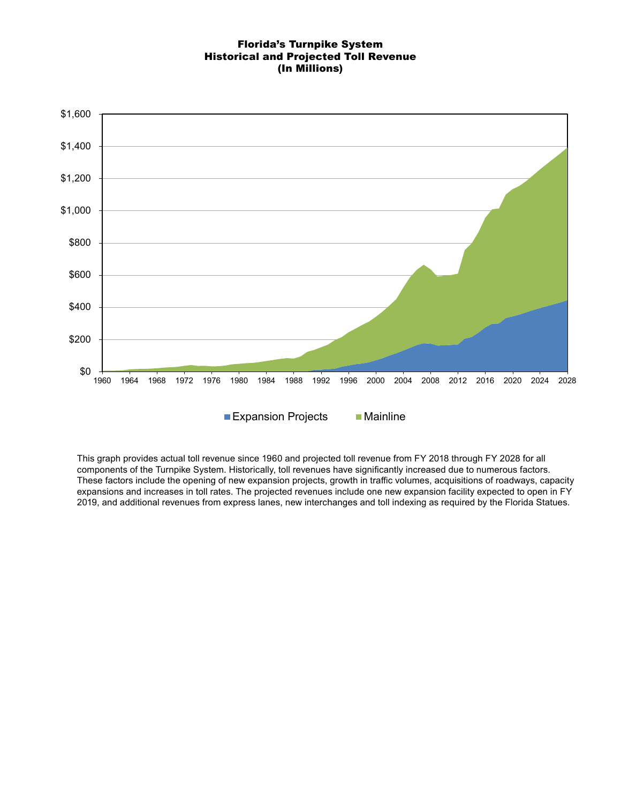### Florida's Turnpike System Historical and Projected Toll Revenue (In Millions)



This graph provides actual toll revenue since 1960 and projected toll revenue from FY 2018 through FY 2028 for all components of the Turnpike System. Historically, toll revenues have significantly increased due to numerous factors. These factors include the opening of new expansion projects, growth in traffic volumes, acquisitions of roadways, capacity expansions and increases in toll rates. The projected revenues include one new expansion facility expected to open in FY 2019, and additional revenues from express lanes, new interchanges and toll indexing as required by the Florida Statues.